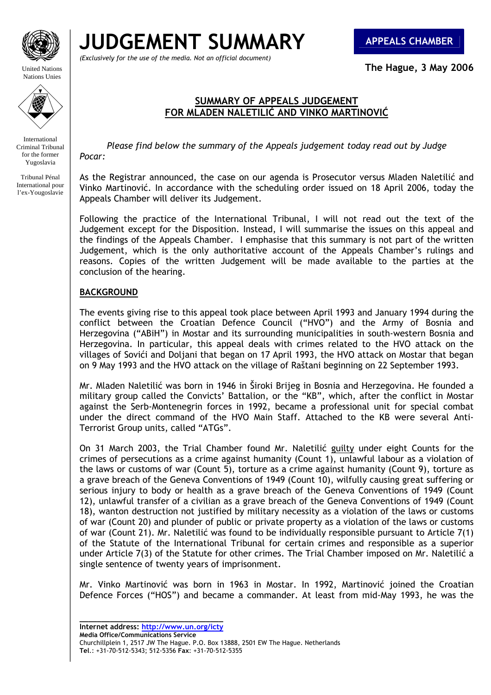

United Nations Nations Unies

**JUDGEMENT SUMMARY APPEALS CHAMBER**

*(Exclusively for the use of the media. Not an official document)*

**The Hague, 3 May 2006** 

# **SUMMARY OF APPEALS JUDGEMENT** **FOR MLADEN NALETILIĆ AND VINKO MARTINOVIĆ**

International Criminal Tribunal for the former Yugoslavia

Tribunal Pénal International pour l'ex-Yougoslavie

 *Please find below the summary of the Appeals judgement today read out by Judge Pocar:* 

As the Registrar announced, the case on our agenda is Prosecutor versus Mladen Naletilić and Vinko Martinović. In accordance with the scheduling order issued on 18 April 2006, today the Appeals Chamber will deliver its Judgement.

Following the practice of the International Tribunal, I will not read out the text of the Judgement except for the Disposition. Instead, I will summarise the issues on this appeal and the findings of the Appeals Chamber. I emphasise that this summary is not part of the written Judgement, which is the only authoritative account of the Appeals Chamber's rulings and reasons. Copies of the written Judgement will be made available to the parties at the conclusion of the hearing.

# **BACKGROUND**

The events giving rise to this appeal took place between April 1993 and January 1994 during the conflict between the Croatian Defence Council ("HVO") and the Army of Bosnia and Herzegovina ("ABiH") in Mostar and its surrounding municipalities in south-western Bosnia and Herzegovina. In particular, this appeal deals with crimes related to the HVO attack on the villages of Sovići and Doljani that began on 17 April 1993, the HVO attack on Mostar that began on 9 May 1993 and the HVO attack on the village of Raštani beginning on 22 September 1993.

Mr. Mladen Naletilić was born in 1946 in Široki Brijeg in Bosnia and Herzegovina. He founded a military group called the Convicts' Battalion, or the "KB", which, after the conflict in Mostar against the Serb-Montenegrin forces in 1992, became a professional unit for special combat under the direct command of the HVO Main Staff. Attached to the KB were several Anti-Terrorist Group units, called "ATGs".

On 31 March 2003, the Trial Chamber found Mr. Naletilić guilty under eight Counts for the crimes of persecutions as a crime against humanity (Count 1), unlawful labour as a violation of the laws or customs of war (Count 5), torture as a crime against humanity (Count 9), torture as a grave breach of the Geneva Conventions of 1949 (Count 10), wilfully causing great suffering or serious injury to body or health as a grave breach of the Geneva Conventions of 1949 (Count 12), unlawful transfer of a civilian as a grave breach of the Geneva Conventions of 1949 (Count 18), wanton destruction not justified by military necessity as a violation of the laws or customs of war (Count 20) and plunder of public or private property as a violation of the laws or customs of war (Count 21). Mr. Naletilić was found to be individually responsible pursuant to Article 7(1) of the Statute of the International Tribunal for certain crimes and responsible as a superior under Article 7(3) of the Statute for other crimes. The Trial Chamber imposed on Mr. Naletilić a single sentence of twenty years of imprisonment.

Mr. Vinko Martinović was born in 1963 in Mostar. In 1992, Martinović joined the Croatian Defence Forces ("HOS") and became a commander. At least from mid-May 1993, he was the

**\_\_\_\_\_\_\_\_\_\_\_\_\_\_\_\_\_\_\_\_\_\_\_\_\_\_\_\_\_\_\_\_\_ Internet address: http://www.un.org/icty**

**Media Office/Communications Service**  Churchillplein 1, 2517 JW The Hague. P.O. Box 13888, 2501 EW The Hague. Netherlands **Tel**.: +31-70-512-5343; 512-5356 **Fax**: +31-70-512-5355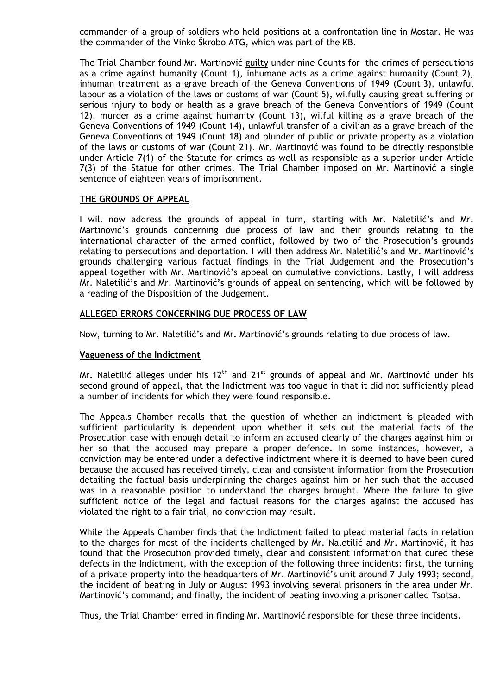commander of a group of soldiers who held positions at a confrontation line in Mostar. He was the commander of the Vinko Škrobo ATG, which was part of the KB.

The Trial Chamber found Mr. Martinović guilty under nine Counts for the crimes of persecutions as a crime against humanity (Count 1), inhumane acts as a crime against humanity (Count 2), inhuman treatment as a grave breach of the Geneva Conventions of 1949 (Count 3), unlawful labour as a violation of the laws or customs of war (Count 5), wilfully causing great suffering or serious injury to body or health as a grave breach of the Geneva Conventions of 1949 (Count 12), murder as a crime against humanity (Count 13), wilful killing as a grave breach of the Geneva Conventions of 1949 (Count 14), unlawful transfer of a civilian as a grave breach of the Geneva Conventions of 1949 (Count 18) and plunder of public or private property as a violation of the laws or customs of war (Count 21). Mr. Martinović was found to be directly responsible under Article 7(1) of the Statute for crimes as well as responsible as a superior under Article 7(3) of the Statue for other crimes. The Trial Chamber imposed on Mr. Martinović a single sentence of eighteen years of imprisonment.

#### **THE GROUNDS OF APPEAL**

I will now address the grounds of appeal in turn, starting with Mr. Naletilić's and Mr. Martinović's grounds concerning due process of law and their grounds relating to the international character of the armed conflict, followed by two of the Prosecution's grounds relating to persecutions and deportation. I will then address Mr. Naletilić's and Mr. Martinović's grounds challenging various factual findings in the Trial Judgement and the Prosecution's appeal together with Mr. Martinović's appeal on cumulative convictions. Lastly, I will address Mr. Naletilić's and Mr. Martinović's grounds of appeal on sentencing, which will be followed by a reading of the Disposition of the Judgement.

#### **ALLEGED ERRORS CONCERNING DUE PROCESS OF LAW**

Now, turning to Mr. Naletilić's and Mr. Martinović's grounds relating to due process of law.

#### **Vagueness of the Indictment**

Mr. Naletilić alleges under his  $12<sup>th</sup>$  and  $21<sup>st</sup>$  grounds of appeal and Mr. Martinović under his second ground of appeal, that the Indictment was too vague in that it did not sufficiently plead a number of incidents for which they were found responsible.

The Appeals Chamber recalls that the question of whether an indictment is pleaded with sufficient particularity is dependent upon whether it sets out the material facts of the Prosecution case with enough detail to inform an accused clearly of the charges against him or her so that the accused may prepare a proper defence. In some instances, however, a conviction may be entered under a defective indictment where it is deemed to have been cured because the accused has received timely, clear and consistent information from the Prosecution detailing the factual basis underpinning the charges against him or her such that the accused was in a reasonable position to understand the charges brought. Where the failure to give sufficient notice of the legal and factual reasons for the charges against the accused has violated the right to a fair trial, no conviction may result.

While the Appeals Chamber finds that the Indictment failed to plead material facts in relation to the charges for most of the incidents challenged by Mr. Naletilić and Mr. Martinović, it has found that the Prosecution provided timely, clear and consistent information that cured these defects in the Indictment, with the exception of the following three incidents: first, the turning of a private property into the headquarters of Mr. Martinović's unit around 7 July 1993; second, the incident of beating in July or August 1993 involving several prisoners in the area under Mr. Martinović's command; and finally, the incident of beating involving a prisoner called Tsotsa.

Thus, the Trial Chamber erred in finding Mr. Martinović responsible for these three incidents.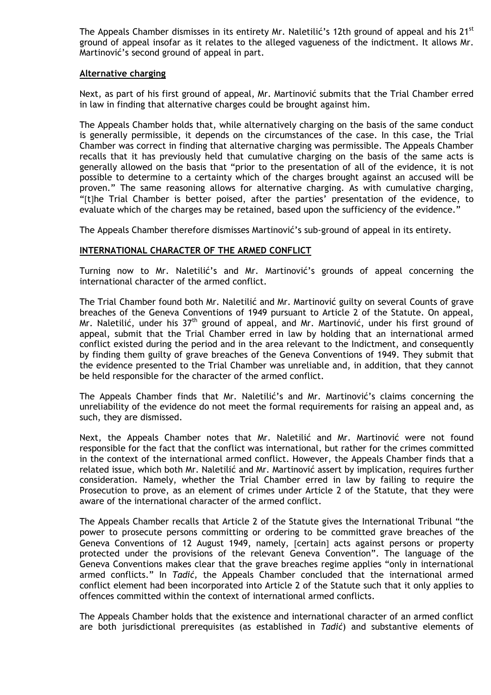The Appeals Chamber dismisses in its entirety Mr. Naletilić's 12th ground of appeal and his 21<sup>st</sup> ground of appeal insofar as it relates to the alleged vagueness of the indictment. It allows Mr. Martinović's second ground of appeal in part.

#### **Alternative charging**

Next, as part of his first ground of appeal, Mr. Martinović submits that the Trial Chamber erred in law in finding that alternative charges could be brought against him.

The Appeals Chamber holds that, while alternatively charging on the basis of the same conduct is generally permissible, it depends on the circumstances of the case. In this case, the Trial Chamber was correct in finding that alternative charging was permissible. The Appeals Chamber recalls that it has previously held that cumulative charging on the basis of the same acts is generally allowed on the basis that "prior to the presentation of all of the evidence, it is not possible to determine to a certainty which of the charges brought against an accused will be proven." The same reasoning allows for alternative charging. As with cumulative charging, "[t]he Trial Chamber is better poised, after the parties' presentation of the evidence, to evaluate which of the charges may be retained, based upon the sufficiency of the evidence."

The Appeals Chamber therefore dismisses Martinović's sub-ground of appeal in its entirety.

## **INTERNATIONAL CHARACTER OF THE ARMED CONFLICT**

Turning now to Mr. Naletilić's and Mr. Martinović's grounds of appeal concerning the international character of the armed conflict.

The Trial Chamber found both Mr. Naletilić and Mr. Martinović guilty on several Counts of grave breaches of the Geneva Conventions of 1949 pursuant to Article 2 of the Statute. On appeal, Mr. Naletilić, under his  $37<sup>th</sup>$  ground of appeal, and Mr. Martinović, under his first ground of appeal, submit that the Trial Chamber erred in law by holding that an international armed conflict existed during the period and in the area relevant to the Indictment, and consequently by finding them guilty of grave breaches of the Geneva Conventions of 1949. They submit that the evidence presented to the Trial Chamber was unreliable and, in addition, that they cannot be held responsible for the character of the armed conflict.

The Appeals Chamber finds that Mr. Naletilić's and Mr. Martinović's claims concerning the unreliability of the evidence do not meet the formal requirements for raising an appeal and, as such, they are dismissed.

Next, the Appeals Chamber notes that Mr. Naletilić and Mr. Martinović were not found responsible for the fact that the conflict was international, but rather for the crimes committed in the context of the international armed conflict. However, the Appeals Chamber finds that a related issue, which both Mr. Naletilić and Mr. Martinović assert by implication, requires further consideration. Namely, whether the Trial Chamber erred in law by failing to require the Prosecution to prove, as an element of crimes under Article 2 of the Statute, that they were aware of the international character of the armed conflict.

The Appeals Chamber recalls that Article 2 of the Statute gives the International Tribunal "the power to prosecute persons committing or ordering to be committed grave breaches of the Geneva Conventions of 12 August 1949, namely, [certain] acts against persons or property protected under the provisions of the relevant Geneva Convention". The language of the Geneva Conventions makes clear that the grave breaches regime applies "only in international armed conflicts." In *Tadić,* the Appeals Chamber concluded that the international armed conflict element had been incorporated into Article 2 of the Statute such that it only applies to offences committed within the context of international armed conflicts.

The Appeals Chamber holds that the existence and international character of an armed conflict are both jurisdictional prerequisites (as established in *Tadić*) and substantive elements of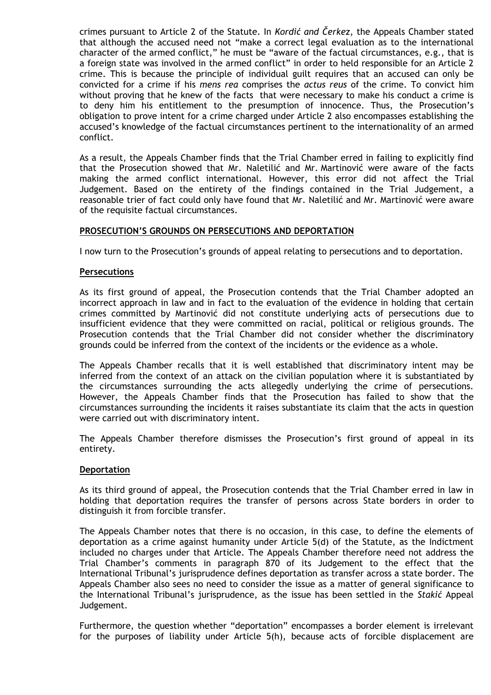crimes pursuant to Article 2 of the Statute. In *Kordić and Čerkez*, the Appeals Chamber stated that although the accused need not "make a correct legal evaluation as to the international character of the armed conflict," he must be "aware of the factual circumstances, e.g., that is a foreign state was involved in the armed conflict" in order to held responsible for an Article 2 crime. This is because the principle of individual guilt requires that an accused can only be convicted for a crime if his *mens rea* comprises the *actus reus* of the crime. To convict him without proving that he knew of the facts that were necessary to make his conduct a crime is to deny him his entitlement to the presumption of innocence. Thus, the Prosecution's obligation to prove intent for a crime charged under Article 2 also encompasses establishing the accused's knowledge of the factual circumstances pertinent to the internationality of an armed conflict.

As a result, the Appeals Chamber finds that the Trial Chamber erred in failing to explicitly find that the Prosecution showed that Mr. Naletilić and Mr. Martinović were aware of the facts making the armed conflict international. However, this error did not affect the Trial Judgement. Based on the entirety of the findings contained in the Trial Judgement, a reasonable trier of fact could only have found that Mr. Naletilić and Mr. Martinović were aware of the requisite factual circumstances.

# **PROSECUTION'S GROUNDS ON PERSECUTIONS AND DEPORTATION**

I now turn to the Prosecution's grounds of appeal relating to persecutions and to deportation.

#### **Persecutions**

As its first ground of appeal, the Prosecution contends that the Trial Chamber adopted an incorrect approach in law and in fact to the evaluation of the evidence in holding that certain crimes committed by Martinović did not constitute underlying acts of persecutions due to insufficient evidence that they were committed on racial, political or religious grounds. The Prosecution contends that the Trial Chamber did not consider whether the discriminatory grounds could be inferred from the context of the incidents or the evidence as a whole.

The Appeals Chamber recalls that it is well established that discriminatory intent may be inferred from the context of an attack on the civilian population where it is substantiated by the circumstances surrounding the acts allegedly underlying the crime of persecutions. However, the Appeals Chamber finds that the Prosecution has failed to show that the circumstances surrounding the incidents it raises substantiate its claim that the acts in question were carried out with discriminatory intent.

The Appeals Chamber therefore dismisses the Prosecution's first ground of appeal in its entirety.

#### **Deportation**

As its third ground of appeal, the Prosecution contends that the Trial Chamber erred in law in holding that deportation requires the transfer of persons across State borders in order to distinguish it from forcible transfer.

The Appeals Chamber notes that there is no occasion, in this case, to define the elements of deportation as a crime against humanity under Article 5(d) of the Statute, as the Indictment included no charges under that Article. The Appeals Chamber therefore need not address the Trial Chamber's comments in paragraph 870 of its Judgement to the effect that the International Tribunal's jurisprudence defines deportation as transfer across a state border. The Appeals Chamber also sees no need to consider the issue as a matter of general significance to the International Tribunal's jurisprudence, as the issue has been settled in the *Stakić* Appeal Judgement.

Furthermore, the question whether "deportation" encompasses a border element is irrelevant for the purposes of liability under Article 5(h), because acts of forcible displacement are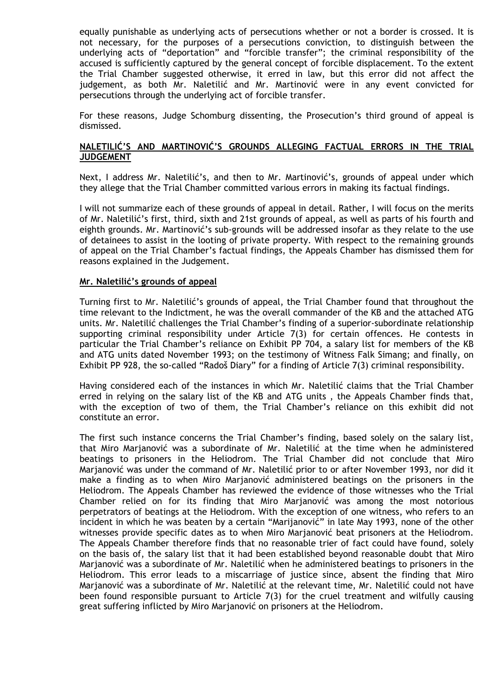equally punishable as underlying acts of persecutions whether or not a border is crossed. It is not necessary, for the purposes of a persecutions conviction, to distinguish between the underlying acts of "deportation" and "forcible transfer"; the criminal responsibility of the accused is sufficiently captured by the general concept of forcible displacement. To the extent the Trial Chamber suggested otherwise, it erred in law, but this error did not affect the judgement, as both Mr. Naletilić and Mr. Martinović were in any event convicted for persecutions through the underlying act of forcible transfer.

For these reasons, Judge Schomburg dissenting, the Prosecution's third ground of appeal is dismissed.

#### **NALETILIĆ'S AND MARTINOVIĆ'S GROUNDS ALLEGING FACTUAL ERRORS IN THE TRIAL JUDGEMENT**

Next, I address Mr. Naletilić's, and then to Mr. Martinović's, grounds of appeal under which they allege that the Trial Chamber committed various errors in making its factual findings.

I will not summarize each of these grounds of appeal in detail. Rather, I will focus on the merits of Mr. Naletilić's first, third, sixth and 21st grounds of appeal, as well as parts of his fourth and eighth grounds. Mr. Martinović's sub-grounds will be addressed insofar as they relate to the use of detainees to assist in the looting of private property. With respect to the remaining grounds of appeal on the Trial Chamber's factual findings, the Appeals Chamber has dismissed them for reasons explained in the Judgement.

#### **Mr. Naletilić's grounds of appeal**

Turning first to Mr. Naletilić's grounds of appeal, the Trial Chamber found that throughout the time relevant to the Indictment, he was the overall commander of the KB and the attached ATG units. Mr. Naletilić challenges the Trial Chamber's finding of a superior-subordinate relationship supporting criminal responsibility under Article 7(3) for certain offences. He contests in particular the Trial Chamber's reliance on Exhibit PP 704, a salary list for members of the KB and ATG units dated November 1993; on the testimony of Witness Falk Simang; and finally, on Exhibit PP 928, the so-called "Radoš Diary" for a finding of Article 7(3) criminal responsibility.

Having considered each of the instances in which Mr. Naletilić claims that the Trial Chamber erred in relying on the salary list of the KB and ATG units , the Appeals Chamber finds that, with the exception of two of them, the Trial Chamber's reliance on this exhibit did not constitute an error.

The first such instance concerns the Trial Chamber's finding, based solely on the salary list, that Miro Marjanović was a subordinate of Mr. Naletilić at the time when he administered beatings to prisoners in the Heliodrom. The Trial Chamber did not conclude that Miro Marjanović was under the command of Mr. Naletilić prior to or after November 1993, nor did it make a finding as to when Miro Marjanović administered beatings on the prisoners in the Heliodrom. The Appeals Chamber has reviewed the evidence of those witnesses who the Trial Chamber relied on for its finding that Miro Marjanović was among the most notorious perpetrators of beatings at the Heliodrom. With the exception of one witness, who refers to an incident in which he was beaten by a certain "Marijanović" in late May 1993, none of the other witnesses provide specific dates as to when Miro Marjanović beat prisoners at the Heliodrom. The Appeals Chamber therefore finds that no reasonable trier of fact could have found, solely on the basis of, the salary list that it had been established beyond reasonable doubt that Miro Marjanović was a subordinate of Mr. Naletilić when he administered beatings to prisoners in the Heliodrom. This error leads to a miscarriage of justice since, absent the finding that Miro Marjanović was a subordinate of Mr. Naletilić at the relevant time, Mr. Naletilić could not have been found responsible pursuant to Article 7(3) for the cruel treatment and wilfully causing great suffering inflicted by Miro Marjanović on prisoners at the Heliodrom.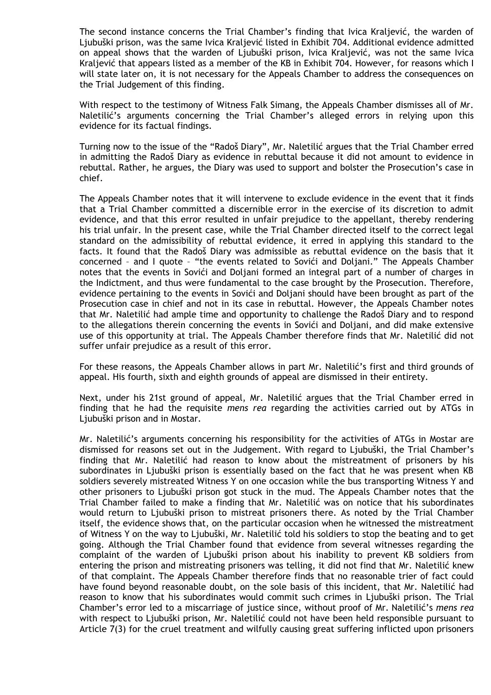The second instance concerns the Trial Chamber's finding that Ivica Kraljević, the warden of Ljubuški prison, was the same Ivica Kraljević listed in Exhibit 704. Additional evidence admitted on appeal shows that the warden of Ljubuški prison, Ivica Kraljević, was not the same Ivica Kraljević that appears listed as a member of the KB in Exhibit 704. However, for reasons which I will state later on, it is not necessary for the Appeals Chamber to address the consequences on the Trial Judgement of this finding.

With respect to the testimony of Witness Falk Simang, the Appeals Chamber dismisses all of Mr. Naletilić's arguments concerning the Trial Chamber's alleged errors in relying upon this evidence for its factual findings.

Turning now to the issue of the "Radoš Diary", Mr. Naletilić argues that the Trial Chamber erred in admitting the Radoš Diary as evidence in rebuttal because it did not amount to evidence in rebuttal. Rather, he argues, the Diary was used to support and bolster the Prosecution's case in chief.

The Appeals Chamber notes that it will intervene to exclude evidence in the event that it finds that a Trial Chamber committed a discernible error in the exercise of its discretion to admit evidence, and that this error resulted in unfair prejudice to the appellant, thereby rendering his trial unfair. In the present case, while the Trial Chamber directed itself to the correct legal standard on the admissibility of rebuttal evidence, it erred in applying this standard to the facts. It found that the Radoš Diary was admissible as rebuttal evidence on the basis that it concerned – and I quote – "the events related to Sovići and Doljani." The Appeals Chamber notes that the events in Sovići and Doljani formed an integral part of a number of charges in the Indictment, and thus were fundamental to the case brought by the Prosecution. Therefore, evidence pertaining to the events in Sovići and Doljani should have been brought as part of the Prosecution case in chief and not in its case in rebuttal. However, the Appeals Chamber notes that Mr. Naletilić had ample time and opportunity to challenge the Radoš Diary and to respond to the allegations therein concerning the events in Sovići and Doljani, and did make extensive use of this opportunity at trial. The Appeals Chamber therefore finds that Mr. Naletilić did not suffer unfair prejudice as a result of this error.

For these reasons, the Appeals Chamber allows in part Mr. Naletilić's first and third grounds of appeal. His fourth, sixth and eighth grounds of appeal are dismissed in their entirety.

Next, under his 21st ground of appeal, Mr. Naletilić argues that the Trial Chamber erred in finding that he had the requisite *mens rea* regarding the activities carried out by ATGs in Ljubuški prison and in Mostar.

Mr. Naletilić's arguments concerning his responsibility for the activities of ATGs in Mostar are dismissed for reasons set out in the Judgement. With regard to Ljubuški, the Trial Chamber's finding that Mr. Naletilić had reason to know about the mistreatment of prisoners by his subordinates in Ljubuški prison is essentially based on the fact that he was present when KB soldiers severely mistreated Witness Y on one occasion while the bus transporting Witness Y and other prisoners to Ljubuški prison got stuck in the mud. The Appeals Chamber notes that the Trial Chamber failed to make a finding that Mr. Naletilić was on notice that his subordinates would return to Ljubuški prison to mistreat prisoners there. As noted by the Trial Chamber itself, the evidence shows that, on the particular occasion when he witnessed the mistreatment of Witness Y on the way to Ljubuški, Mr. Naletilić told his soldiers to stop the beating and to get going. Although the Trial Chamber found that evidence from several witnesses regarding the complaint of the warden of Ljubuški prison about his inability to prevent KB soldiers from entering the prison and mistreating prisoners was telling, it did not find that Mr. Naletilić knew of that complaint. The Appeals Chamber therefore finds that no reasonable trier of fact could have found beyond reasonable doubt, on the sole basis of this incident, that Mr. Naletilić had reason to know that his subordinates would commit such crimes in Ljubuški prison. The Trial Chamber's error led to a miscarriage of justice since, without proof of Mr. Naletilić's *mens rea* with respect to Ljubuški prison, Mr. Naletilić could not have been held responsible pursuant to Article 7(3) for the cruel treatment and wilfully causing great suffering inflicted upon prisoners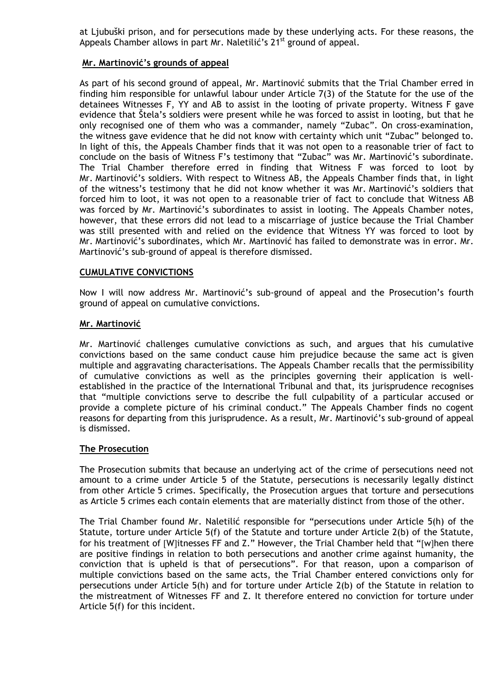at Ljubuški prison, and for persecutions made by these underlying acts. For these reasons, the Appeals Chamber allows in part Mr. Naletilić's 21<sup>st</sup> ground of appeal.

### **Mr. Martinović's grounds of appeal**

As part of his second ground of appeal, Mr. Martinović submits that the Trial Chamber erred in finding him responsible for unlawful labour under Article 7(3) of the Statute for the use of the detainees Witnesses F, YY and AB to assist in the looting of private property. Witness F gave evidence that Štela's soldiers were present while he was forced to assist in looting, but that he only recognised one of them who was a commander, namely "Zubac". On cross-examination, the witness gave evidence that he did not know with certainty which unit "Zubac" belonged to. In light of this, the Appeals Chamber finds that it was not open to a reasonable trier of fact to conclude on the basis of Witness F's testimony that "Zubac" was Mr. Martinović's subordinate. The Trial Chamber therefore erred in finding that Witness F was forced to loot by Mr. Martinović's soldiers. With respect to Witness AB, the Appeals Chamber finds that, in light of the witness's testimony that he did not know whether it was Mr. Martinović's soldiers that forced him to loot, it was not open to a reasonable trier of fact to conclude that Witness AB was forced by Mr. Martinović's subordinates to assist in looting. The Appeals Chamber notes, however, that these errors did not lead to a miscarriage of justice because the Trial Chamber was still presented with and relied on the evidence that Witness YY was forced to loot by Mr. Martinović's subordinates, which Mr. Martinović has failed to demonstrate was in error. Mr. Martinović's sub-ground of appeal is therefore dismissed.

#### **CUMULATIVE CONVICTIONS**

Now I will now address Mr. Martinović's sub-ground of appeal and the Prosecution's fourth ground of appeal on cumulative convictions.

#### **Mr. Martinović**

Mr. Martinović challenges cumulative convictions as such, and argues that his cumulative convictions based on the same conduct cause him prejudice because the same act is given multiple and aggravating characterisations. The Appeals Chamber recalls that the permissibility of cumulative convictions as well as the principles governing their application is wellestablished in the practice of the International Tribunal and that, its jurisprudence recognises that "multiple convictions serve to describe the full culpability of a particular accused or provide a complete picture of his criminal conduct." The Appeals Chamber finds no cogent reasons for departing from this jurisprudence. As a result, Mr. Martinović's sub-ground of appeal is dismissed.

#### **The Prosecution**

The Prosecution submits that because an underlying act of the crime of persecutions need not amount to a crime under Article 5 of the Statute, persecutions is necessarily legally distinct from other Article 5 crimes. Specifically, the Prosecution argues that torture and persecutions as Article 5 crimes each contain elements that are materially distinct from those of the other.

The Trial Chamber found Mr. Naletilić responsible for "persecutions under Article 5(h) of the Statute, torture under Article 5(f) of the Statute and torture under Article 2(b) of the Statute, for his treatment of [W]itnesses FF and Z." However, the Trial Chamber held that "[w]hen there are positive findings in relation to both persecutions and another crime against humanity, the conviction that is upheld is that of persecutions". For that reason, upon a comparison of multiple convictions based on the same acts, the Trial Chamber entered convictions only for persecutions under Article 5(h) and for torture under Article 2(b) of the Statute in relation to the mistreatment of Witnesses FF and Z. It therefore entered no conviction for torture under Article 5(f) for this incident.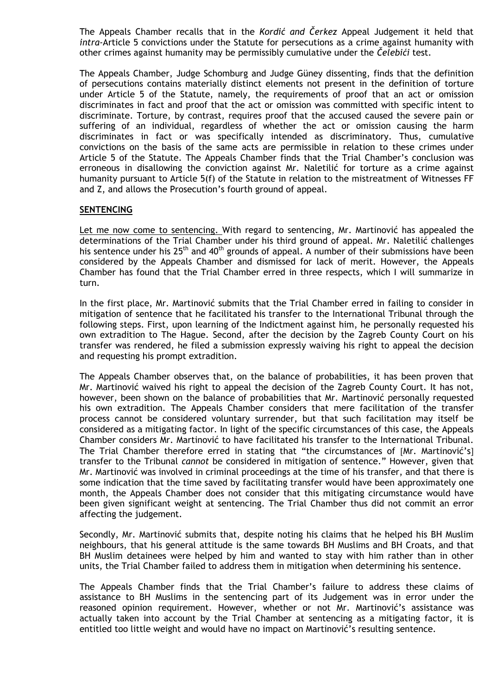The Appeals Chamber recalls that in the *Kordić and Čerkez* Appeal Judgement it held that *intra-*Article 5 convictions under the Statute for persecutions as a crime against humanity with other crimes against humanity may be permissibly cumulative under the *Čelebići* test.

The Appeals Chamber, Judge Schomburg and Judge Güney dissenting, finds that the definition of persecutions contains materially distinct elements not present in the definition of torture under Article 5 of the Statute, namely, the requirements of proof that an act or omission discriminates in fact and proof that the act or omission was committed with specific intent to discriminate. Torture, by contrast, requires proof that the accused caused the severe pain or suffering of an individual, regardless of whether the act or omission causing the harm discriminates in fact or was specifically intended as discriminatory. Thus, cumulative convictions on the basis of the same acts are permissible in relation to these crimes under Article 5 of the Statute. The Appeals Chamber finds that the Trial Chamber's conclusion was erroneous in disallowing the conviction against Mr. Naletilić for torture as a crime against humanity pursuant to Article 5(f) of the Statute in relation to the mistreatment of Witnesses FF and Z, and allows the Prosecution's fourth ground of appeal.

#### **SENTENCING**

Let me now come to sentencing. With regard to sentencing, Mr. Martinović has appealed the determinations of the Trial Chamber under his third ground of appeal. Mr. Naletilić challenges his sentence under his  $25<sup>th</sup>$  and  $40<sup>th</sup>$  grounds of appeal. A number of their submissions have been considered by the Appeals Chamber and dismissed for lack of merit. However, the Appeals Chamber has found that the Trial Chamber erred in three respects, which I will summarize in turn.

In the first place, Mr. Martinović submits that the Trial Chamber erred in failing to consider in mitigation of sentence that he facilitated his transfer to the International Tribunal through the following steps. First, upon learning of the Indictment against him, he personally requested his own extradition to The Hague. Second, after the decision by the Zagreb County Court on his transfer was rendered, he filed a submission expressly waiving his right to appeal the decision and requesting his prompt extradition.

The Appeals Chamber observes that, on the balance of probabilities, it has been proven that Mr. Martinović waived his right to appeal the decision of the Zagreb County Court. It has not, however, been shown on the balance of probabilities that Mr. Martinović personally requested his own extradition. The Appeals Chamber considers that mere facilitation of the transfer process cannot be considered voluntary surrender, but that such facilitation may itself be considered as a mitigating factor. In light of the specific circumstances of this case, the Appeals Chamber considers Mr. Martinović to have facilitated his transfer to the International Tribunal. The Trial Chamber therefore erred in stating that "the circumstances of [Mr. Martinović's] transfer to the Tribunal *cannot* be considered in mitigation of sentence." However, given that Mr. Martinović was involved in criminal proceedings at the time of his transfer, and that there is some indication that the time saved by facilitating transfer would have been approximately one month, the Appeals Chamber does not consider that this mitigating circumstance would have been given significant weight at sentencing. The Trial Chamber thus did not commit an error affecting the judgement.

Secondly, Mr. Martinović submits that, despite noting his claims that he helped his BH Muslim neighbours, that his general attitude is the same towards BH Muslims and BH Croats, and that BH Muslim detainees were helped by him and wanted to stay with him rather than in other units, the Trial Chamber failed to address them in mitigation when determining his sentence.

The Appeals Chamber finds that the Trial Chamber's failure to address these claims of assistance to BH Muslims in the sentencing part of its Judgement was in error under the reasoned opinion requirement. However, whether or not Mr. Martinović's assistance was actually taken into account by the Trial Chamber at sentencing as a mitigating factor, it is entitled too little weight and would have no impact on Martinović's resulting sentence.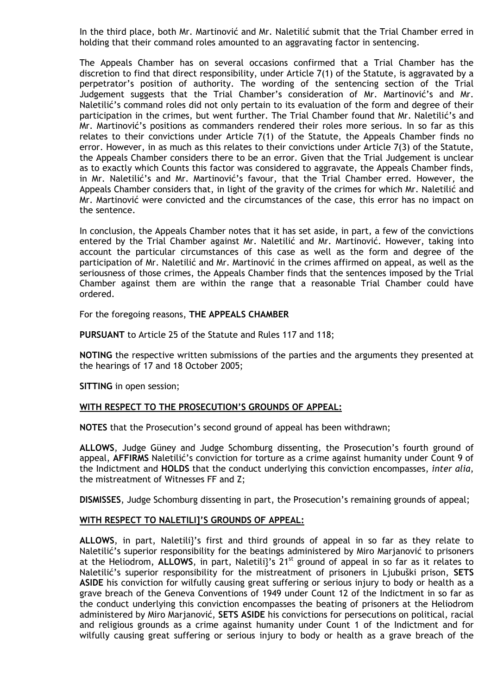In the third place, both Mr. Martinović and Mr. Naletilić submit that the Trial Chamber erred in holding that their command roles amounted to an aggravating factor in sentencing.

The Appeals Chamber has on several occasions confirmed that a Trial Chamber has the discretion to find that direct responsibility, under Article 7(1) of the Statute, is aggravated by a perpetrator's position of authority. The wording of the sentencing section of the Trial Judgement suggests that the Trial Chamber's consideration of Mr. Martinović's and Mr. Naletilić's command roles did not only pertain to its evaluation of the form and degree of their participation in the crimes, but went further. The Trial Chamber found that Mr. Naletilić's and Mr. Martinović's positions as commanders rendered their roles more serious. In so far as this relates to their convictions under Article 7(1) of the Statute, the Appeals Chamber finds no error. However, in as much as this relates to their convictions under Article 7(3) of the Statute, the Appeals Chamber considers there to be an error. Given that the Trial Judgement is unclear as to exactly which Counts this factor was considered to aggravate, the Appeals Chamber finds, in Mr. Naletilić's and Mr. Martinović's favour, that the Trial Chamber erred. However, the Appeals Chamber considers that, in light of the gravity of the crimes for which Mr. Naletilić and Mr. Martinović were convicted and the circumstances of the case, this error has no impact on the sentence.

In conclusion, the Appeals Chamber notes that it has set aside, in part, a few of the convictions entered by the Trial Chamber against Mr. Naletilić and Mr. Martinović. However, taking into account the particular circumstances of this case as well as the form and degree of the participation of Mr. Naletilić and Mr. Martinović in the crimes affirmed on appeal, as well as the seriousness of those crimes, the Appeals Chamber finds that the sentences imposed by the Trial Chamber against them are within the range that a reasonable Trial Chamber could have ordered.

For the foregoing reasons, **THE APPEALS CHAMBER** 

**PURSUANT** to Article 25 of the Statute and Rules 117 and 118;

**NOTING** the respective written submissions of the parties and the arguments they presented at the hearings of 17 and 18 October 2005;

**SITTING** in open session;

#### **WITH RESPECT TO THE PROSECUTION'S GROUNDS OF APPEAL:**

**NOTES** that the Prosecution's second ground of appeal has been withdrawn;

**ALLOWS**, Judge Güney and Judge Schomburg dissenting, the Prosecution's fourth ground of appeal, **AFFIRMS** Naletilić's conviction for torture as a crime against humanity under Count 9 of the Indictment and **HOLDS** that the conduct underlying this conviction encompasses, *inter alia*, the mistreatment of Witnesses FF and Z;

**DISMISSES**, Judge Schomburg dissenting in part, the Prosecution's remaining grounds of appeal;

#### **WITH RESPECT TO NALETILI]'S GROUNDS OF APPEAL:**

**ALLOWS**, in part, Naletili}'s first and third grounds of appeal in so far as they relate to Naletilić's superior responsibility for the beatings administered by Miro Marjanović to prisoners at the Heliodrom, **ALLOWS**, in part, Naletili}'s 21st ground of appeal in so far as it relates to Naletilić's superior responsibility for the mistreatment of prisoners in Ljubuški prison, **SETS ASIDE** his conviction for wilfully causing great suffering or serious injury to body or health as a grave breach of the Geneva Conventions of 1949 under Count 12 of the Indictment in so far as the conduct underlying this conviction encompasses the beating of prisoners at the Heliodrom administered by Miro Marjanović, **SETS ASIDE** his convictions for persecutions on political, racial and religious grounds as a crime against humanity under Count 1 of the Indictment and for wilfully causing great suffering or serious injury to body or health as a grave breach of the